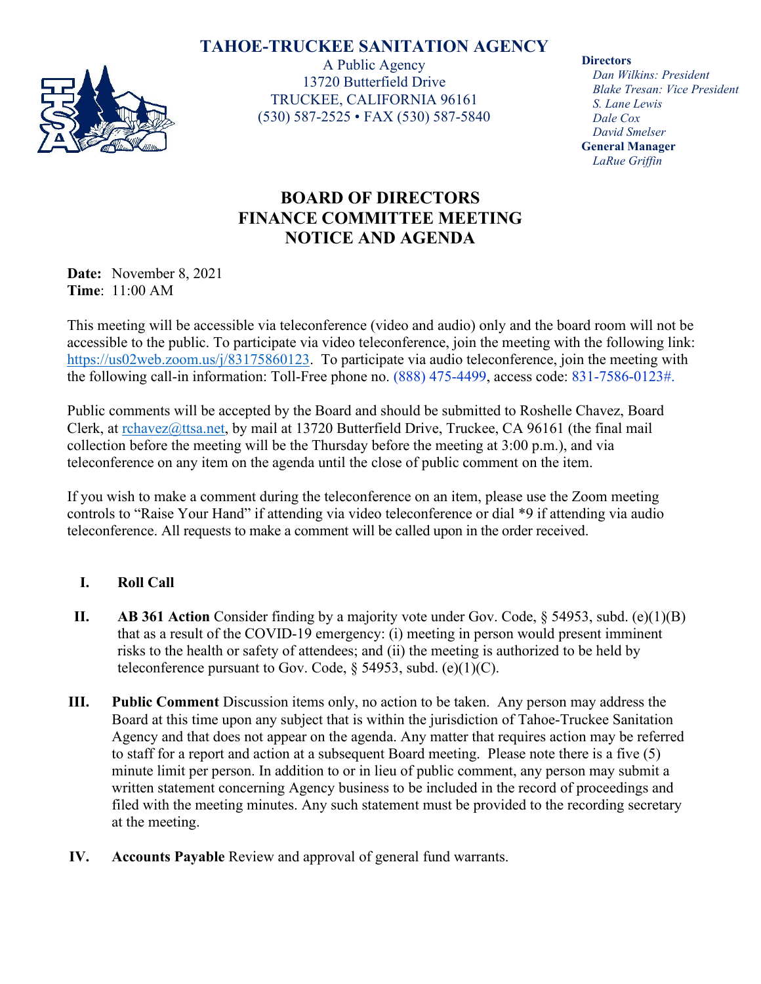## **TAHOE-TRUCKEE SANITATION AGENCY**



A Public Agency 13720 Butterfield Drive TRUCKEE, CALIFORNIA 96161 (530) 587-2525 • FAX (530) 587-5840 **Directors**

*Dan Wilkins: President Blake Tresan: Vice President S. Lane Lewis Dale Cox David Smelser* **General Manager** *LaRue Griffin*

## **BOARD OF DIRECTORS FINANCE COMMITTEE MEETING NOTICE AND AGENDA**

**Date:** November 8, 2021 **Time**: 11:00 AM

This meeting will be accessible via teleconference (video and audio) only and the board room will not be accessible to the public. To participate via video teleconference, join the meeting with the following link: [https://us02web.zoom.us/j/83175860123.](https://us02web.zoom.us/j/83175860123) To participate via audio teleconference, join the meeting with the following call-in information: Toll-Free phone no. (888) 475-4499, access code: 831-7586-0123#.

Public comments will be accepted by the Board and should be submitted to Roshelle Chavez, Board Clerk, at [rchavez@ttsa.net,](mailto:rchavez@ttsa.net) by mail at 13720 Butterfield Drive, Truckee, CA 96161 (the final mail collection before the meeting will be the Thursday before the meeting at 3:00 p.m.), and via teleconference on any item on the agenda until the close of public comment on the item.

If you wish to make a comment during the teleconference on an item, please use the Zoom meeting controls to "Raise Your Hand" if attending via video teleconference or dial \*9 if attending via audio teleconference. All requests to make a comment will be called upon in the order received.

## **I. Roll Call**

- **II. AB 361 Action** Consider finding by a majority vote under Gov. Code,  $\delta$  54953, subd. (e)(1)(B) that as a result of the COVID-19 emergency: (i) meeting in person would present imminent risks to the health or safety of attendees; and (ii) the meeting is authorized to be held by teleconference pursuant to Gov. Code,  $\S$  54953, subd. (e)(1)(C).
- **III. Public Comment** Discussion items only, no action to be taken. Any person may address the Board at this time upon any subject that is within the jurisdiction of Tahoe-Truckee Sanitation Agency and that does not appear on the agenda. Any matter that requires action may be referred to staff for a report and action at a subsequent Board meeting. Please note there is a five (5) minute limit per person. In addition to or in lieu of public comment, any person may submit a written statement concerning Agency business to be included in the record of proceedings and filed with the meeting minutes. Any such statement must be provided to the recording secretary at the meeting.
- **IV. Accounts Payable** Review and approval of general fund warrants.